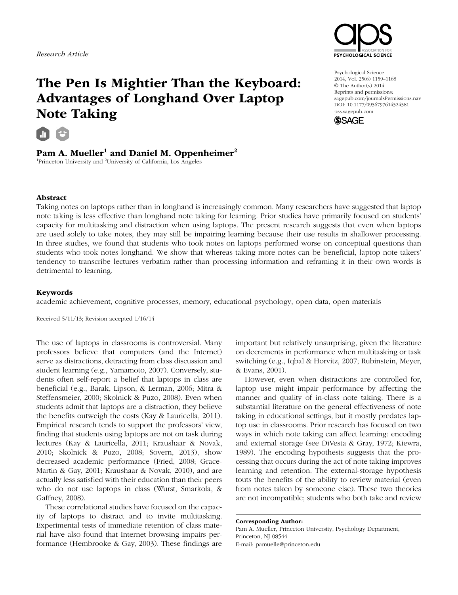

# The Pen Is Mightier Than the Keyboard: Advantages of Longhand Over Laptop Note Taking

# Pam A. Mueller<sup>1</sup> and Daniel M. Oppenheimer<sup>2</sup>

<sup>1</sup>Princeton University and <sup>2</sup>University of California, Los Angeles

Psychological Science 2014, Vol. 25(6) 1159–1168 © The Author(s) 2014 Reprints and permissions: sagepub.com/journalsPermissions.nav DOI: 10.1177/0956797614524581 pss.sagepub.com



## Abstract

Taking notes on laptops rather than in longhand is increasingly common. Many researchers have suggested that laptop note taking is less effective than longhand note taking for learning. Prior studies have primarily focused on students' capacity for multitasking and distraction when using laptops. The present research suggests that even when laptops are used solely to take notes, they may still be impairing learning because their use results in shallower processing. In three studies, we found that students who took notes on laptops performed worse on conceptual questions than students who took notes longhand. We show that whereas taking more notes can be beneficial, laptop note takers' tendency to transcribe lectures verbatim rather than processing information and reframing it in their own words is detrimental to learning.

### Keywords

academic achievement, cognitive processes, memory, educational psychology, open data, open materials

Received 5/11/13; Revision accepted 1/16/14

The use of laptops in classrooms is controversial. Many professors believe that computers (and the Internet) serve as distractions, detracting from class discussion and student learning (e.g., Yamamoto, 2007). Conversely, students often self-report a belief that laptops in class are beneficial (e.g., Barak, Lipson, & Lerman, 2006; Mitra & Steffensmeier, 2000; Skolnick & Puzo, 2008). Even when students admit that laptops are a distraction, they believe the benefits outweigh the costs (Kay & Lauricella, 2011). Empirical research tends to support the professors' view, finding that students using laptops are not on task during lectures (Kay & Lauricella, 2011; Kraushaar & Novak, 2010; Skolnick & Puzo, 2008; Sovern, 2013), show decreased academic performance (Fried, 2008; Grace-Martin & Gay, 2001; Kraushaar & Novak, 2010), and are actually less satisfied with their education than their peers who do not use laptops in class (Wurst, Smarkola, & Gaffney, 2008).

These correlational studies have focused on the capacity of laptops to distract and to invite multitasking. Experimental tests of immediate retention of class material have also found that Internet browsing impairs performance (Hembrooke & Gay, 2003). These findings are

important but relatively unsurprising, given the literature on decrements in performance when multitasking or task switching (e.g., Iqbal & Horvitz, 2007; Rubinstein, Meyer, & Evans, 2001).

However, even when distractions are controlled for, laptop use might impair performance by affecting the manner and quality of in-class note taking. There is a substantial literature on the general effectiveness of note taking in educational settings, but it mostly predates laptop use in classrooms. Prior research has focused on two ways in which note taking can affect learning: encoding and external storage (see DiVesta & Gray, 1972; Kiewra, 1989). The encoding hypothesis suggests that the processing that occurs during the act of note taking improves learning and retention. The external-storage hypothesis touts the benefits of the ability to review material (even from notes taken by someone else). These two theories are not incompatible; students who both take and review

Corresponding Author: Pam A. Mueller, Princeton University, Psychology Department, Princeton, NJ 08544 E-mail: pamuelle@princeton.edu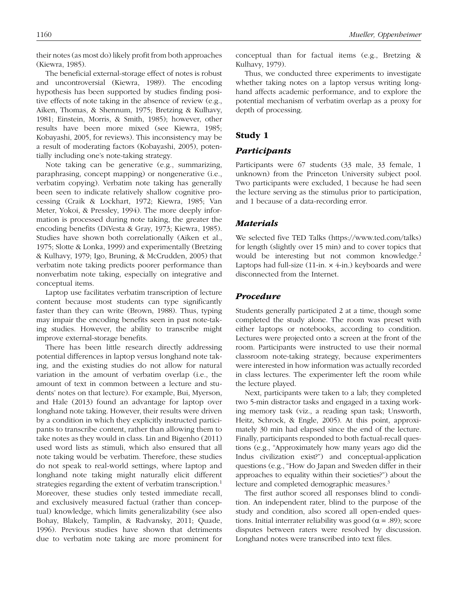their notes (as most do) likely profit from both approaches (Kiewra, 1985).

The beneficial external-storage effect of notes is robust and uncontroversial (Kiewra, 1989). The encoding hypothesis has been supported by studies finding positive effects of note taking in the absence of review (e.g., Aiken, Thomas, & Shennum, 1975; Bretzing & Kulhavy, 1981; Einstein, Morris, & Smith, 1985); however, other results have been more mixed (see Kiewra, 1985; Kobayashi, 2005, for reviews). This inconsistency may be a result of moderating factors (Kobayashi, 2005), potentially including one's note-taking strategy.

Note taking can be generative (e.g., summarizing, paraphrasing, concept mapping) or nongenerative (i.e., verbatim copying). Verbatim note taking has generally been seen to indicate relatively shallow cognitive processing (Craik & Lockhart, 1972; Kiewra, 1985; Van Meter, Yokoi, & Pressley, 1994). The more deeply information is processed during note taking, the greater the encoding benefits (DiVesta & Gray, 1973; Kiewra, 1985). Studies have shown both correlationally (Aiken et al., 1975; Slotte & Lonka, 1999) and experimentally (Bretzing & Kulhavy, 1979; Igo, Bruning, & McCrudden, 2005) that verbatim note taking predicts poorer performance than nonverbatim note taking, especially on integrative and conceptual items.

Laptop use facilitates verbatim transcription of lecture content because most students can type significantly faster than they can write (Brown, 1988). Thus, typing may impair the encoding benefits seen in past note-taking studies. However, the ability to transcribe might improve external-storage benefits.

There has been little research directly addressing potential differences in laptop versus longhand note taking, and the existing studies do not allow for natural variation in the amount of verbatim overlap (i.e., the amount of text in common between a lecture and students' notes on that lecture). For example, Bui, Myerson, and Hale (2013) found an advantage for laptop over longhand note taking. However, their results were driven by a condition in which they explicitly instructed participants to transcribe content, rather than allowing them to take notes as they would in class. Lin and Bigenho (2011) used word lists as stimuli, which also ensured that all note taking would be verbatim. Therefore, these studies do not speak to real-world settings, where laptop and longhand note taking might naturally elicit different strategies regarding the extent of verbatim transcription.<sup>1</sup> Moreover, these studies only tested immediate recall, and exclusively measured factual (rather than conceptual) knowledge, which limits generalizability (see also Bohay, Blakely, Tamplin, & Radvansky, 2011; Quade, 1996). Previous studies have shown that detriments due to verbatim note taking are more prominent for conceptual than for factual items (e.g., Bretzing & Kulhavy, 1979).

Thus, we conducted three experiments to investigate whether taking notes on a laptop versus writing longhand affects academic performance, and to explore the potential mechanism of verbatim overlap as a proxy for depth of processing.

# Study 1

## *Participants*

Participants were 67 students (33 male, 33 female, 1 unknown) from the Princeton University subject pool. Two participants were excluded, 1 because he had seen the lecture serving as the stimulus prior to participation, and 1 because of a data-recording error.

### *Materials*

We selected five TED Talks (https://www.ted.com/talks) for length (slightly over 15 min) and to cover topics that would be interesting but not common knowledge.<sup>2</sup> Laptops had full-size  $(11$ -in.  $\times$  4-in.) keyboards and were disconnected from the Internet.

## *Procedure*

Students generally participated 2 at a time, though some completed the study alone. The room was preset with either laptops or notebooks, according to condition. Lectures were projected onto a screen at the front of the room. Participants were instructed to use their normal classroom note-taking strategy, because experimenters were interested in how information was actually recorded in class lectures. The experimenter left the room while the lecture played.

Next, participants were taken to a lab; they completed two 5-min distractor tasks and engaged in a taxing working memory task (viz., a reading span task; Unsworth, Heitz, Schrock, & Engle, 2005). At this point, approximately 30 min had elapsed since the end of the lecture. Finally, participants responded to both factual-recall questions (e.g., "Approximately how many years ago did the Indus civilization exist?") and conceptual-application questions (e.g., "How do Japan and Sweden differ in their approaches to equality within their societies?") about the lecture and completed demographic measures.<sup>3</sup>

The first author scored all responses blind to condition. An independent rater, blind to the purpose of the study and condition, also scored all open-ended questions. Initial interrater reliability was good ( $\alpha$  = .89); score disputes between raters were resolved by discussion. Longhand notes were transcribed into text files.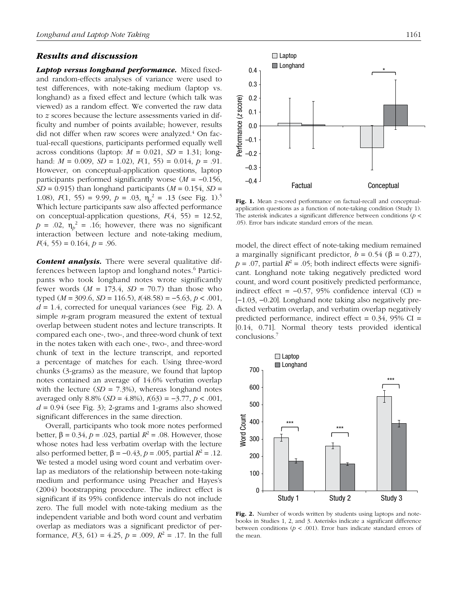### *Results and discussion*

*Laptop versus longhand performance.* Mixed fixedand random-effects analyses of variance were used to test differences, with note-taking medium (laptop vs. longhand) as a fixed effect and lecture (which talk was viewed) as a random effect. We converted the raw data to *z* scores because the lecture assessments varied in difficulty and number of points available; however, results did not differ when raw scores were analyzed.<sup>4</sup> On factual-recall questions, participants performed equally well across conditions (laptop: *M* = 0.021, *SD =* 1.31; longhand: *M* = 0.009, *SD =* 1.02), *F*(1, 55) = 0.014, *p =* .91. However, on conceptual-application questions, laptop participants performed significantly worse (*M* = −0.156,  $SD = 0.915$ ) than longhand participants ( $M = 0.154$ ,  $SD =$ 1.08),  $F(1, 55) = 9.99$ ,  $p = .03$ ,  $\eta_p^2 = .13$  (see Fig. 1).<sup>5</sup> Which lecture participants saw also affected performance on conceptual-application questions, *F*(4, 55) = 12.52,  $p = .02$ ,  $\eta_p^2 = .16$ ; however, there was no significant interaction between lecture and note-taking medium,  $F(4, 55) = 0.164, p = .96.$ 

*Content analysis.* There were several qualitative differences between laptop and longhand notes.<sup>6</sup> Participants who took longhand notes wrote significantly fewer words  $(M = 173.4, SD = 70.7)$  than those who typed (*M =* 309.6, *SD =* 116.5), *t*(48.58) = −5.63, *p* < .001,  $d = 1.4$ , corrected for unequal variances (see Fig. 2). A simple *n*-gram program measured the extent of textual overlap between student notes and lecture transcripts. It compared each one-, two-, and three-word chunk of text in the notes taken with each one-, two-, and three-word chunk of text in the lecture transcript, and reported a percentage of matches for each. Using three-word chunks (3-grams) as the measure, we found that laptop notes contained an average of 14.6% verbatim overlap with the lecture  $(SD = 7.3\%)$ , whereas longhand notes averaged only 8.8% (*SD =* 4.8%), *t*(63) = −3.77, *p* < .001,  $d = 0.94$  (see Fig. 3); 2-grams and 1-grams also showed significant differences in the same direction.

Overall, participants who took more notes performed better,  $\beta = 0.34$ ,  $p = .023$ , partial  $R^2 = .08$ . However, those whose notes had less verbatim overlap with the lecture also performed better,  $\beta = -0.43$ ,  $p = .005$ , partial  $R^2 = .12$ . We tested a model using word count and verbatim overlap as mediators of the relationship between note-taking medium and performance using Preacher and Hayes's (2004) bootstrapping procedure. The indirect effect is significant if its 95% confidence intervals do not include zero. The full model with note-taking medium as the independent variable and both word count and verbatim overlap as mediators was a significant predictor of performance,  $F(3, 61) = 4.25$ ,  $p = .009$ ,  $R^2 = .17$ . In the full



Fig. 1. Mean *z*-scored performance on factual-recall and conceptualapplication questions as a function of note-taking condition (Study 1). The asterisk indicates a significant difference between conditions (*p* < .05). Error bars indicate standard errors of the mean.

model, the direct effect of note-taking medium remained a marginally significant predictor,  $b = 0.54$  ( $\beta = 0.27$ ),  $p = 0.07$ , partial  $R^2 = 0.05$ ; both indirect effects were significant. Longhand note taking negatively predicted word count, and word count positively predicted performance, indirect effect =  $-0.57$ , 95% confidence interval (CI) = [−1.03, −0.20]. Longhand note taking also negatively predicted verbatim overlap, and verbatim overlap negatively predicted performance, indirect effect  $= 0.34$ , 95% CI  $=$ [0.14, 0.71]. Normal theory tests provided identical conclusions.7



Fig. 2. Number of words written by students using laptops and notebooks in Studies 1, 2, and 3. Asterisks indicate a significant difference between conditions ( $p < .001$ ). Error bars indicate standard errors of the mean.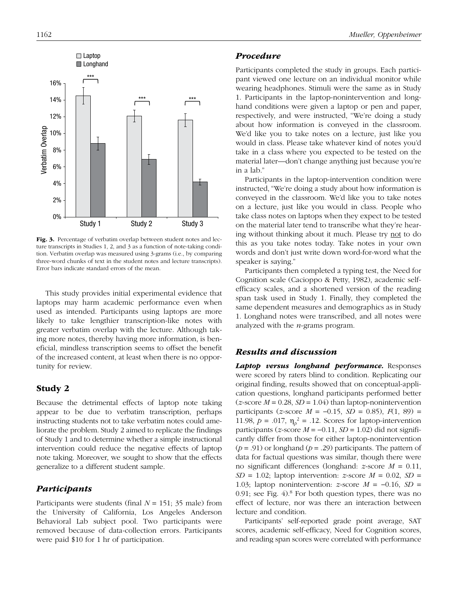

Fig. 3. Percentage of verbatim overlap between student notes and lecture transcripts in Studies 1, 2, and 3 as a function of note-taking condition. Verbatim overlap was measured using 3-grams (i.e., by comparing three-word chunks of text in the student notes and lecture transcripts). Error bars indicate standard errors of the mean.

This study provides initial experimental evidence that laptops may harm academic performance even when used as intended. Participants using laptops are more likely to take lengthier transcription-like notes with greater verbatim overlap with the lecture. Although taking more notes, thereby having more information, is beneficial, mindless transcription seems to offset the benefit of the increased content, at least when there is no opportunity for review.

# Study 2

Because the detrimental effects of laptop note taking appear to be due to verbatim transcription, perhaps instructing students not to take verbatim notes could ameliorate the problem. Study 2 aimed to replicate the findings of Study 1 and to determine whether a simple instructional intervention could reduce the negative effects of laptop note taking. Moreover, we sought to show that the effects generalize to a different student sample.

# *Participants*

Participants were students (final *N* = 151; 35 male) from the University of California, Los Angeles Anderson Behavioral Lab subject pool. Two participants were removed because of data-collection errors. Participants were paid \$10 for 1 hr of participation.

#### *Procedure*

Participants completed the study in groups. Each participant viewed one lecture on an individual monitor while wearing headphones. Stimuli were the same as in Study 1. Participants in the laptop-nonintervention and longhand conditions were given a laptop or pen and paper, respectively, and were instructed, "We're doing a study about how information is conveyed in the classroom. We'd like you to take notes on a lecture, just like you would in class. Please take whatever kind of notes you'd take in a class where you expected to be tested on the material later—don't change anything just because you're in a lab."

Participants in the laptop-intervention condition were instructed, "We're doing a study about how information is conveyed in the classroom. We'd like you to take notes on a lecture, just like you would in class. People who take class notes on laptops when they expect to be tested on the material later tend to transcribe what they're hearing without thinking about it much. Please try not to do this as you take notes today. Take notes in your own words and don't just write down word-for-word what the speaker is saying."

Participants then completed a typing test, the Need for Cognition scale (Cacioppo & Petty, 1982), academic selfefficacy scales, and a shortened version of the reading span task used in Study 1. Finally, they completed the same dependent measures and demographics as in Study 1. Longhand notes were transcribed, and all notes were analyzed with the *n*-grams program.

## *Results and discussion*

*Laptop versus longhand performance.* Responses were scored by raters blind to condition. Replicating our original finding, results showed that on conceptual-application questions, longhand participants performed better  $(z$ -score  $M = 0.28$ ,  $SD = 1.04$ ) than laptop-nonintervention participants (*z*-score *M* = −0.15, *SD* = 0.85), *F*(1, 89) = 11.98,  $p = .017$ ,  $\eta_p^2 = .12$ . Scores for laptop-intervention participants ( $z$ -score  $M = -0.11$ ,  $SD = 1.02$ ) did not significantly differ from those for either laptop-nonintervention (*p* = .91) or longhand (*p* = .29) participants. The pattern of data for factual questions was similar, though there were no significant differences (longhand: *z*-score *M* = 0.11,  $SD = 1.02$ ; laptop intervention: *z*-score  $M = 0.02$ ,  $SD =$ 1.03; laptop nonintervention: *z*-score *M* = −0.16, *SD* = 0.91; see Fig. 4).<sup>8</sup> For both question types, there was no effect of lecture, nor was there an interaction between lecture and condition.

Participants' self-reported grade point average, SAT scores, academic self-efficacy, Need for Cognition scores, and reading span scores were correlated with performance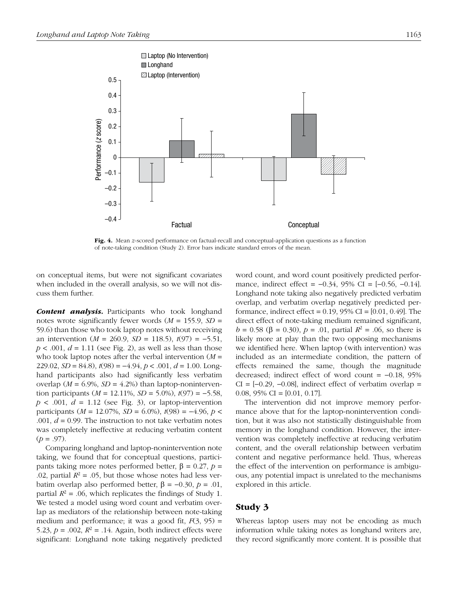

Fig. 4. Mean *z*-scored performance on factual-recall and conceptual-application questions as a function of note-taking condition (Study 2). Error bars indicate standard errors of the mean.

on conceptual items, but were not significant covariates when included in the overall analysis, so we will not discuss them further.

*Content analysis.* Participants who took longhand notes wrote significantly fewer words (*M* = 155.9, *SD* = 59.6) than those who took laptop notes without receiving an intervention (*M* = 260.9, *SD* = 118.5), *t*(97) = −5.51,  $p < .001$ ,  $d = 1.11$  (see Fig. 2), as well as less than those who took laptop notes after the verbal intervention (*M* = 229.02, *SD* = 84.8), *t*(98) = −4.94, *p* < .001, *d* = 1.00. Longhand participants also had significantly less verbatim overlap ( $M = 6.9\%$ ,  $SD = 4.2\%$ ) than laptop-nonintervention participants (*M* = 12.11%, *SD* = 5.0%), *t*(97) = −5.58,  $p < .001$ ,  $d = 1.12$  (see Fig. 3), or laptop-intervention participants (*M* = 12.07%, *SD* = 6.0%), *t*(98) = −4.96, *p* < .001,  $d = 0.99$ . The instruction to not take verbatim notes was completely ineffective at reducing verbatim content  $(p = .97)$ .

Comparing longhand and laptop-nonintervention note taking, we found that for conceptual questions, participants taking more notes performed better, β = 0.27, *p* = .02, partial  $R^2 = .05$ , but those whose notes had less verbatim overlap also performed better, β = −0.30, *p* = .01, partial  $R^2 = 0.06$ , which replicates the findings of Study 1. We tested a model using word count and verbatim overlap as mediators of the relationship between note-taking medium and performance; it was a good fit, *F*(3, 95) = 5.23,  $p = .002$ ,  $R^2 = .14$ . Again, both indirect effects were significant: Longhand note taking negatively predicted

word count, and word count positively predicted performance, indirect effect = −0.34, 95% CI = [−0.56, −0.14]. Longhand note taking also negatively predicted verbatim overlap, and verbatim overlap negatively predicted performance, indirect effect =  $0.19$ ,  $95\%$  CI =  $[0.01, 0.49]$ . The direct effect of note-taking medium remained significant,  $b = 0.58$  (β = 0.30),  $p = .01$ , partial  $R<sup>2</sup> = .06$ , so there is likely more at play than the two opposing mechanisms we identified here. When laptop (with intervention) was included as an intermediate condition, the pattern of effects remained the same, though the magnitude decreased; indirect effect of word count = −0.18, 95% CI =  $[-0.29, -0.08]$ , indirect effect of verbatim overlap = 0.08,  $95\%$  CI = [0.01, 0.17].

The intervention did not improve memory performance above that for the laptop-nonintervention condition, but it was also not statistically distinguishable from memory in the longhand condition. However, the intervention was completely ineffective at reducing verbatim content, and the overall relationship between verbatim content and negative performance held. Thus, whereas the effect of the intervention on performance is ambiguous, any potential impact is unrelated to the mechanisms explored in this article.

# Study 3

Whereas laptop users may not be encoding as much information while taking notes as longhand writers are, they record significantly more content. It is possible that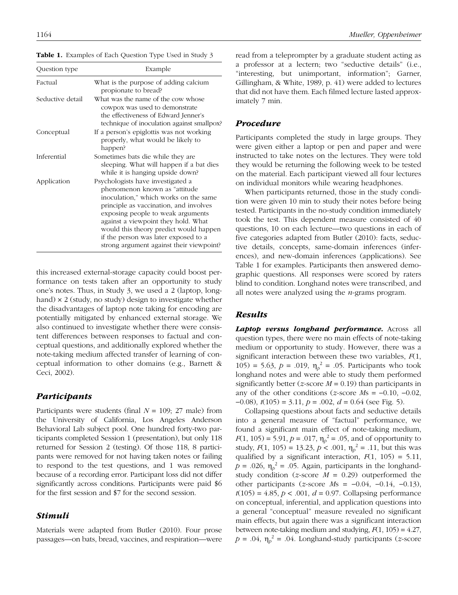| Question type    | Example<br>What is the purpose of adding calcium<br>propionate to bread?                                                                                                                                                                                                                                                                                         |  |  |
|------------------|------------------------------------------------------------------------------------------------------------------------------------------------------------------------------------------------------------------------------------------------------------------------------------------------------------------------------------------------------------------|--|--|
| Factual          |                                                                                                                                                                                                                                                                                                                                                                  |  |  |
| Seductive detail | What was the name of the cow whose<br>cowpox was used to demonstrate<br>the effectiveness of Edward Jenner's<br>technique of inoculation against smallpox?                                                                                                                                                                                                       |  |  |
| Conceptual       | If a person's epiglottis was not working<br>properly, what would be likely to<br>happen?                                                                                                                                                                                                                                                                         |  |  |
| Inferential      | Sometimes bats die while they are.<br>sleeping. What will happen if a bat dies<br>while it is hanging upside down?                                                                                                                                                                                                                                               |  |  |
| Application      | Psychologists have investigated a<br>phenomenon known as "attitude"<br>inoculation," which works on the same<br>principle as vaccination, and involves<br>exposing people to weak arguments<br>against a viewpoint they hold. What<br>would this theory predict would happen<br>if the person was later exposed to a<br>strong argument against their viewpoint? |  |  |

Table 1. Examples of Each Question Type Used in Study 3

this increased external-storage capacity could boost performance on tests taken after an opportunity to study one's notes. Thus, in Study 3, we used a 2 (laptop, longhand) × 2 (study, no study) design to investigate whether the disadvantages of laptop note taking for encoding are potentially mitigated by enhanced external storage. We also continued to investigate whether there were consistent differences between responses to factual and conceptual questions, and additionally explored whether the note-taking medium affected transfer of learning of conceptual information to other domains (e.g., Barnett & Ceci, 2002).

### *Participants*

Participants were students (final *N* = 109; 27 male) from the University of California, Los Angeles Anderson Behavioral Lab subject pool. One hundred forty-two participants completed Session 1 (presentation), but only 118 returned for Session 2 (testing). Of those 118, 8 participants were removed for not having taken notes or failing to respond to the test questions, and 1 was removed because of a recording error. Participant loss did not differ significantly across conditions. Participants were paid \$6 for the first session and \$7 for the second session.

# *Stimuli*

Materials were adapted from Butler (2010). Four prose passages—on bats, bread, vaccines, and respiration—were read from a teleprompter by a graduate student acting as a professor at a lectern; two "seductive details" (i.e., "interesting, but unimportant, information"; Garner, Gillingham, & White, 1989, p. 41) were added to lectures that did not have them. Each filmed lecture lasted approximately 7 min.

# *Procedure*

Participants completed the study in large groups. They were given either a laptop or pen and paper and were instructed to take notes on the lectures. They were told they would be returning the following week to be tested on the material. Each participant viewed all four lectures on individual monitors while wearing headphones.

When participants returned, those in the study condition were given 10 min to study their notes before being tested. Participants in the no-study condition immediately took the test. This dependent measure consisted of 40 questions, 10 on each lecture—two questions in each of five categories adapted from Butler (2010): facts, seductive details, concepts, same-domain inferences (inferences), and new-domain inferences (applications). See Table 1 for examples. Participants then answered demographic questions. All responses were scored by raters blind to condition. Longhand notes were transcribed, and all notes were analyzed using the *n*-grams program.

# *Results*

*Laptop versus longhand performance.* Across all question types, there were no main effects of note-taking medium or opportunity to study. However, there was a significant interaction between these two variables, *F*(1, 105) = 5.63,  $p = .019$ ,  $\eta_p^2 = .05$ . Participants who took longhand notes and were able to study them performed significantly better (*z*-score  $M = 0.19$ ) than participants in any of the other conditions (*z*-score *M*s = −0.10, −0.02, −0.08), *t*(105) = 3.11, *p* = .002, *d* = 0.64 (see Fig. 5).

Collapsing questions about facts and seductive details into a general measure of "factual" performance, we found a significant main effect of note-taking medium,  $F(1, 105) = 5.91, p = .017, \eta_p^2 = .05$ , and of opportunity to study,  $F(1, 105) = 13.23, p < .001, \eta_p^2 = .11$ , but this was qualified by a significant interaction,  $F(1, 105) = 5.11$ ,  $p = .026$ ,  $\eta_p^2 = .05$ . Again, participants in the longhandstudy condition (*z*-score *M* = 0.29) outperformed the other participants (*z*-score *M*s = −0.04, −0.14, −0.13),  $t(105) = 4.85, p < .001, d = 0.97$ . Collapsing performance on conceptual, inferential, and application questions into a general "conceptual" measure revealed no significant main effects, but again there was a significant interaction between note-taking medium and studying,  $F(1, 105) = 4.27$ ,  $p = .04$ ,  $\eta_p^2 = .04$ . Longhand-study participants (*z*-score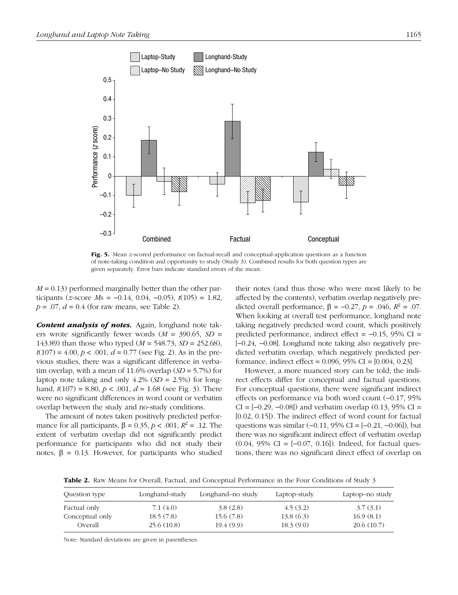

Fig. 5. Mean *z*-scored performance on factual-recall and conceptual-application questions as a function of note-taking condition and opportunity to study (Study 3). Combined results for both question types are given separately. Error bars indicate standard errors of the mean.

*M* = 0.13) performed marginally better than the other participants (*z*-score *M*s = −0.14, 0.04, −0.05), *t*(105) = 1.82,  $p = .07$ ,  $d = 0.4$  (for raw means, see Table 2).

*Content analysis of notes.* Again, longhand note takers wrote significantly fewer words (*M* = 390.65, *SD* = 143.89) than those who typed (*M* = 548.73, *SD* = 252.68),  $t(107) = 4.00, p < .001, d = 0.77$  (see Fig. 2). As in the previous studies, there was a significant difference in verbatim overlap, with a mean of 11.6% overlap (*SD* = 5.7%) for laptop note taking and only 4.2% (*SD* = 2.5%) for longhand, *t*(107) = 8.80, *p* < .001, *d* = 1.68 (see Fig. 3). There were no significant differences in word count or verbatim overlap between the study and no-study conditions.

The amount of notes taken positively predicted performance for all participants,  $\beta = 0.35$ ,  $p < .001$ ,  $R^2 = .12$ . The extent of verbatim overlap did not significantly predict performance for participants who did not study their notes,  $β = 0.13$ . However, for participants who studied

their notes (and thus those who were most likely to be affected by the contents), verbatim overlap negatively predicted overall performance,  $β = -0.27, p = .046, R<sup>2</sup> = .07$ . When looking at overall test performance, longhand note taking negatively predicted word count, which positively predicted performance, indirect effect = −0.15, 95% CI = [−0.24, −0.08]. Longhand note taking also negatively predicted verbatim overlap, which negatively predicted performance, indirect effect = 0.096, 95% CI = [0.004, 0.23].

However, a more nuanced story can be told; the indirect effects differ for conceptual and factual questions. For conceptual questions, there were significant indirect effects on performance via both word count (−0.17, 95% CI =  $[-0.29, -0.08]$ ) and verbatim overlap  $(0.13, 95\%$  CI = [0.02, 0.15]). The indirect effect of word count for factual questions was similar (−0.11, 95% CI = [−0.21, −0.06]), but there was no significant indirect effect of verbatim overlap  $(0.04, 95\% \text{ CI} = [-0.07, 0.16])$ . Indeed, for factual questions, there was no significant direct effect of overlap on

Table 2. Raw Means for Overall, Factual, and Conceptual Performance in the Four Conditions of Study 3

| Question type   | Longhand-study | Longhand–no study | Laptop-study | Laptop-no study |
|-----------------|----------------|-------------------|--------------|-----------------|
| Factual only-   | 7.1 (4.0)      | 3.8(2.8)          | 4.5(3.2)     | 3.7(3.1)        |
| Conceptual only | 18.5(7.8)      | 15.6(7.8)         | 13.8(6.3)    | 16.9(8.1)       |
| Overall         | 25.6(10.8)     | 19.4(9.9)         | 18.3(9.0)    | 20.6(10.7)      |

Note: Standard deviations are given in parentheses.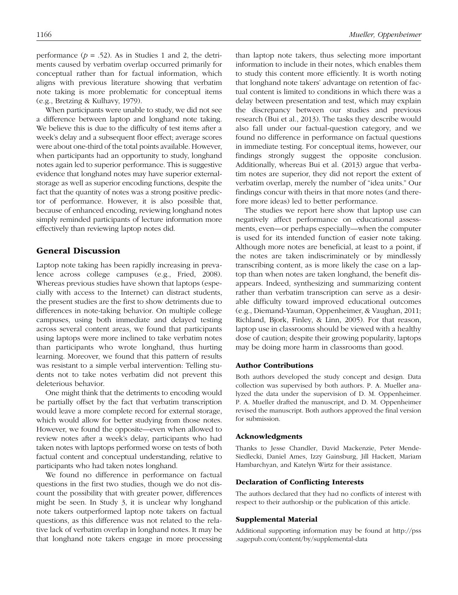performance  $(p = .52)$ . As in Studies 1 and 2, the detriments caused by verbatim overlap occurred primarily for conceptual rather than for factual information, which aligns with previous literature showing that verbatim note taking is more problematic for conceptual items (e.g., Bretzing & Kulhavy, 1979).

When participants were unable to study, we did not see a difference between laptop and longhand note taking. We believe this is due to the difficulty of test items after a week's delay and a subsequent floor effect; average scores were about one-third of the total points available. However, when participants had an opportunity to study, longhand notes again led to superior performance. This is suggestive evidence that longhand notes may have superior externalstorage as well as superior encoding functions, despite the fact that the quantity of notes was a strong positive predictor of performance. However, it is also possible that, because of enhanced encoding, reviewing longhand notes simply reminded participants of lecture information more effectively than reviewing laptop notes did.

## General Discussion

Laptop note taking has been rapidly increasing in prevalence across college campuses (e.g., Fried, 2008). Whereas previous studies have shown that laptops (especially with access to the Internet) can distract students, the present studies are the first to show detriments due to differences in note-taking behavior. On multiple college campuses, using both immediate and delayed testing across several content areas, we found that participants using laptops were more inclined to take verbatim notes than participants who wrote longhand, thus hurting learning. Moreover, we found that this pattern of results was resistant to a simple verbal intervention: Telling students not to take notes verbatim did not prevent this deleterious behavior.

One might think that the detriments to encoding would be partially offset by the fact that verbatim transcription would leave a more complete record for external storage, which would allow for better studying from those notes. However, we found the opposite—even when allowed to review notes after a week's delay, participants who had taken notes with laptops performed worse on tests of both factual content and conceptual understanding, relative to participants who had taken notes longhand.

We found no difference in performance on factual questions in the first two studies, though we do not discount the possibility that with greater power, differences might be seen. In Study 3, it is unclear why longhand note takers outperformed laptop note takers on factual questions, as this difference was not related to the relative lack of verbatim overlap in longhand notes. It may be that longhand note takers engage in more processing than laptop note takers, thus selecting more important information to include in their notes, which enables them to study this content more efficiently. It is worth noting that longhand note takers' advantage on retention of factual content is limited to conditions in which there was a delay between presentation and test, which may explain the discrepancy between our studies and previous research (Bui et al., 2013). The tasks they describe would also fall under our factual-question category, and we found no difference in performance on factual questions in immediate testing. For conceptual items, however, our findings strongly suggest the opposite conclusion. Additionally, whereas Bui et al. (2013) argue that verbatim notes are superior, they did not report the extent of verbatim overlap, merely the number of "idea units." Our findings concur with theirs in that more notes (and therefore more ideas) led to better performance.

The studies we report here show that laptop use can negatively affect performance on educational assessments, even—or perhaps especially—when the computer is used for its intended function of easier note taking. Although more notes are beneficial, at least to a point, if the notes are taken indiscriminately or by mindlessly transcribing content, as is more likely the case on a laptop than when notes are taken longhand, the benefit disappears. Indeed, synthesizing and summarizing content rather than verbatim transcription can serve as a desirable difficulty toward improved educational outcomes (e.g., Diemand-Yauman, Oppenheimer, & Vaughan, 2011; Richland, Bjork, Finley, & Linn, 2005). For that reason, laptop use in classrooms should be viewed with a healthy dose of caution; despite their growing popularity, laptops may be doing more harm in classrooms than good.

#### Author Contributions

Both authors developed the study concept and design. Data collection was supervised by both authors. P. A. Mueller analyzed the data under the supervision of D. M. Oppenheimer. P. A. Mueller drafted the manuscript, and D. M. Oppenheimer revised the manuscript. Both authors approved the final version for submission.

#### Acknowledgments

Thanks to Jesse Chandler, David Mackenzie, Peter Mende-Siedlecki, Daniel Ames, Izzy Gainsburg, Jill Hackett, Mariam Hambarchyan, and Katelyn Wirtz for their assistance.

#### Declaration of Conflicting Interests

The authors declared that they had no conflicts of interest with respect to their authorship or the publication of this article.

#### Supplemental Material

[Additional supporting information may be found at http://pss](http://pss.sagepub.com/content/by/supplemental-data) .sagepub.com/content/by/supplemental-data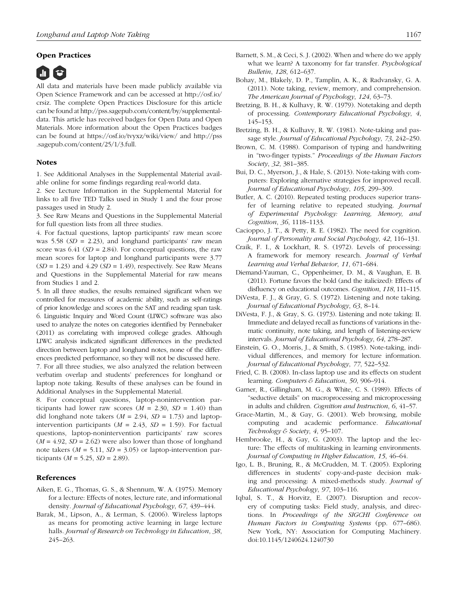#### Open Practices



All data and materials have been made publicly available via [Open Science Framework and can be accessed at http://osf.io/](http://osf.io/crsiz) crsiz. The complete Open Practices Disclosure for this article [can be found at http://pss.sagepub.com/content/by/supplemental](http://pss.sagepub.com/content/by/supplementaldata)data. This article has received badges for Open Data and Open Materials. More information about the Open Practices badges [can be found at https://osf.io/tvyxz/wiki/view/ and http://pss](http://pss.sagepub.com/content/25/1/3.full) .sagepub.com/content/25/1/3.full.

#### **Notes**

1. See Additional Analyses in the Supplemental Material available online for some findings regarding real-world data.

2. See Lecture Information in the Supplemental Material for links to all five TED Talks used in Study 1 and the four prose passages used in Study 2.

3. See Raw Means and Questions in the Supplemental Material for full question lists from all three studies.

4. For factual questions, laptop participants' raw mean score was 5.58 (*SD* = 2.23), and longhand participants' raw mean score was  $6.41$  ( $SD = 2.84$ ). For conceptual questions, the raw mean scores for laptop and longhand participants were 3.77 (*SD* = 1.23) and 4.29 (*SD* = 1.49), respectively. See Raw Means and Questions in the Supplemental Material for raw means from Studies 1 and 2.

5. In all three studies, the results remained significant when we controlled for measures of academic ability, such as self-ratings of prior knowledge and scores on the SAT and reading span task. 6. Linguistic Inquiry and Word Count (LIWC) software was also used to analyze the notes on categories identified by Pennebaker (2011) as correlating with improved college grades. Although LIWC analysis indicated significant differences in the predicted direction between laptop and longhand notes, none of the differences predicted performance, so they will not be discussed here. 7. For all three studies, we also analyzed the relation between verbatim overlap and students' preferences for longhand or laptop note taking. Results of these analyses can be found in

Additional Analyses in the Supplemental Material. 8. For conceptual questions, laptop-nonintervention participants had lower raw scores  $(M = 2.30, SD = 1.40)$  than did longhand note takers  $(M = 2.94, SD = 1.73)$  and laptopintervention participants  $(M = 2.43, SD = 1.59)$ . For factual questions, laptop-nonintervention participants' raw scores  $(M = 4.92, SD = 2.62)$  were also lower than those of longhand note takers  $(M = 5.11, SD = 3.05)$  or laptop-intervention participants ( $M = 5.25$ ,  $SD = 2.89$ ).

#### References

- Aiken, E. G., Thomas, G. S., & Shennum, W. A. (1975). Memory for a lecture: Effects of notes, lecture rate, and informational density. *Journal of Educational Psychology*, *67*, 439–444.
- Barak, M., Lipson, A., & Lerman, S. (2006). Wireless laptops as means for promoting active learning in large lecture halls. *Journal of Research on Technology in Education*, *38*, 245–263.
- *Bulletin*, *128*, 612–637. Bohay, M., Blakely, D. P., Tamplin, A. K., & Radvansky, G. A. (2011). Note taking, review, memory, and comprehension. *The American Journal of Psychology*, *124*, 63–73.
- Bretzing, B. H., & Kulhavy, R. W. (1979). Notetaking and depth of processing. *Contemporary Educational Psychology*, *4*, 145–153.
- Bretzing, B. H., & Kulhavy, R. W. (1981). Note-taking and passage style. *Journal of Educational Psychology*, *73*, 242–250.
- Brown, C. M. (1988). Comparison of typing and handwriting in "two-finger typists." *Proceedings of the Human Factors Society*, *32*, 381–385.
- Bui, D. C., Myerson, J., & Hale, S. (2013). Note-taking with computers: Exploring alternative strategies for improved recall. *Journal of Educational Psychology*, *105*, 299–309.
- Butler, A. C. (2010). Repeated testing produces superior transfer of learning relative to repeated studying. *Journal of Experimental Psychology: Learning, Memory, and Cognition*, *36*, 1118–1133.
- Cacioppo, J. T., & Petty, R. E. (1982). The need for cognition. *Journal of Personality and Social Psychology*, *42*, 116–131.
- Craik, F. I., & Lockhart, R. S. (1972). Levels of processing: A framework for memory research. *Journal of Verbal Learning and Verbal Behavior*, *11*, 671–684.
- Diemand-Yauman, C., Oppenheimer, D. M., & Vaughan, E. B. (2011). Fortune favors the bold (and the italicized): Effects of disfluency on educational outcomes. *Cognition*, *118*, 111–115.
- DiVesta, F. J., & Gray, G. S. (1972). Listening and note taking. *Journal of Educational Psychology*, *63*, 8–14.
- DiVesta, F. J., & Gray, S. G. (1973). Listening and note taking: II. Immediate and delayed recall as functions of variations in thematic continuity, note taking, and length of listening-review intervals. *Journal of Educational Psychology*, *64*, 278–287.
- Einstein, G. O., Morris, J., & Smith, S. (1985). Note-taking, individual differences, and memory for lecture information. *Journal of Educational Psychology*, *77*, 522–532.
- Fried, C. B. (2008). In-class laptop use and its effects on student learning. *Computers & Education*, *50*, 906–914.
- Garner, R., Gillingham, M. G., & White, C. S. (1989). Effects of "seductive details" on macroprocessing and microprocessing in adults and children. *Cognition and Instruction*, *6*, 41–57.
- Grace-Martin, M., & Gay, G. (2001). Web browsing, mobile computing and academic performance. *Educational Technology & Society*, *4*, 95–107.
- Hembrooke, H., & Gay, G. (2003). The laptop and the lecture: The effects of multitasking in learning environments. *Journal of Computing in Higher Education*, *15*, 46–64.
- Igo, L. B., Bruning, R., & McCrudden, M. T. (2005). Exploring differences in students' copy-and-paste decision making and processing: A mixed-methods study. *Journal of Educational Psychology*, *97*, 103–116.
- Iqbal, S. T., & Horvitz, E. (2007). Disruption and recovery of computing tasks: Field study, analysis, and directions*.* In *Proceedings of the SIGCHI Conference on Human Factors in Computing Systems* (pp. 677–686). New York, NY: Association for Computing Machinery. doi:10.1145/1240624.1240730